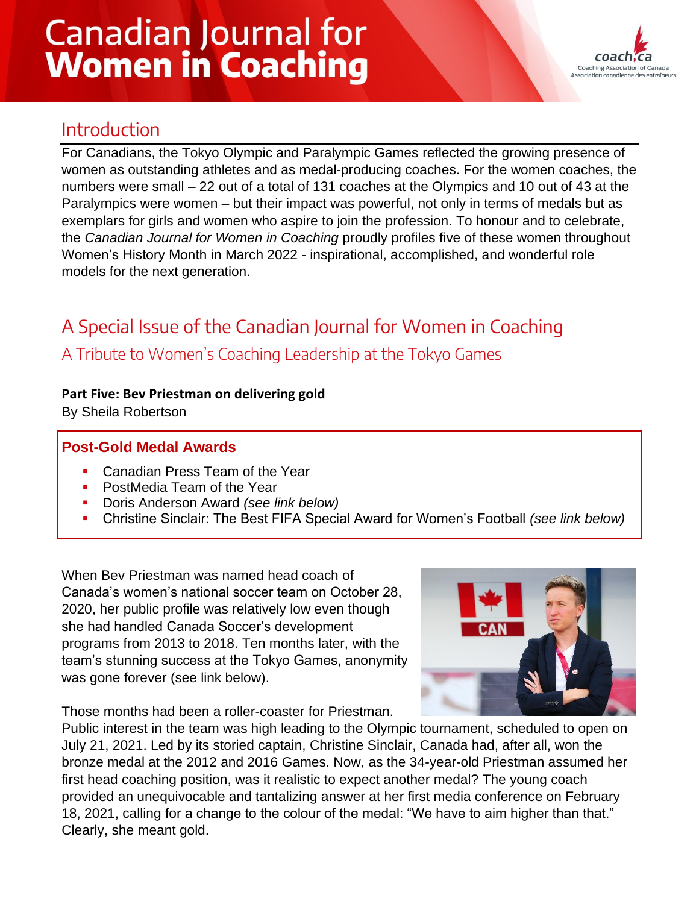# **Canadian Journal for Women in Coaching**



## Introduction

For Canadians, the Tokyo Olympic and Paralympic Games reflected the growing presence of women as outstanding athletes and as medal-producing coaches. For the women coaches, the numbers were small – 22 out of a total of 131 coaches at the Olympics and 10 out of 43 at the Paralympics were women – but their impact was powerful, not only in terms of medals but as exemplars for girls and women who aspire to join the profession. To honour and to celebrate, the *Canadian Journal for Women in Coaching* proudly profiles five of these women throughout Women's History Month in March 2022 - inspirational, accomplished, and wonderful role models for the next generation.

# A Special Issue of the Canadian Journal for Women in Coaching

### A Tribute to Women's Coaching Leadership at the Tokyo Games

#### **Part Five: Bev Priestman on delivering gold**

By Sheila Robertson

#### **Post-Gold Medal Awards**

- Canadian Press Team of the Year
- **PostMedia Team of the Year**
- **Doris Anderson Award** *(see link below)*
- Christine Sinclair: The Best FIFA Special Award for Women's Football *(see link below)*

When Bev Priestman was named head coach of Canada's women's national soccer team on October 28, 2020, her public profile was relatively low even though she had handled Canada Soccer's development programs from 2013 to 2018. Ten months later, with the team's stunning success at the Tokyo Games, anonymity was gone forever (see link below).



Those months had been a roller-coaster for Priestman.

Public interest in the team was high leading to the Olympic tournament, scheduled to open on July 21, 2021. Led by its storied captain, Christine Sinclair, Canada had, after all, won the bronze medal at the 2012 and 2016 Games. Now, as the 34-year-old Priestman assumed her first head coaching position, was it realistic to expect another medal? The young coach provided an unequivocable and tantalizing answer at her first media conference on February 18, 2021, calling for a change to the colour of the medal: "We have to aim higher than that." Clearly, she meant gold.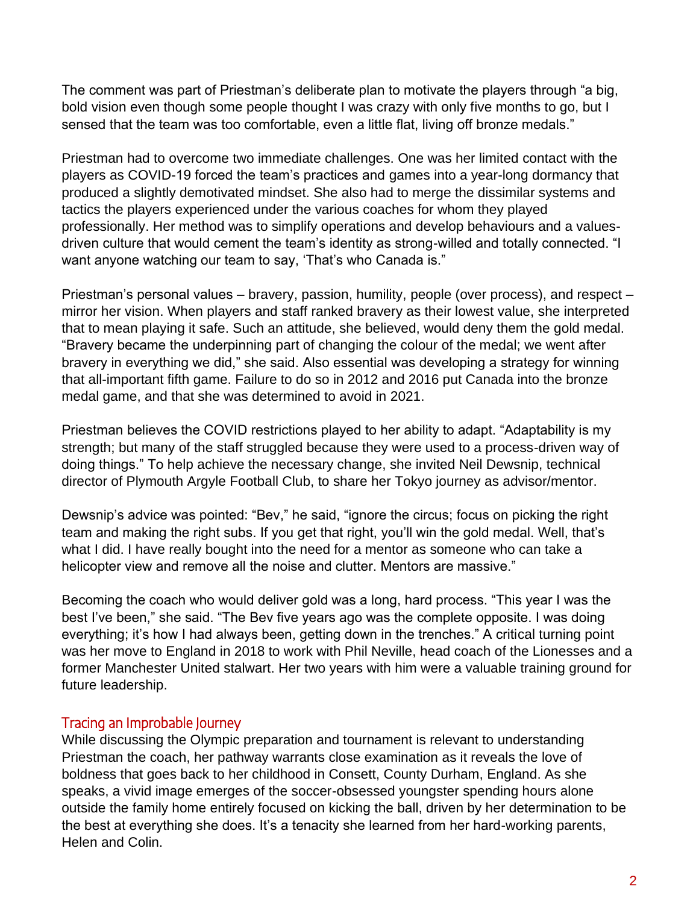The comment was part of Priestman's deliberate plan to motivate the players through "a big, bold vision even though some people thought I was crazy with only five months to go, but I sensed that the team was too comfortable, even a little flat, living off bronze medals."

Priestman had to overcome two immediate challenges. One was her limited contact with the players as COVID-19 forced the team's practices and games into a year-long dormancy that produced a slightly demotivated mindset. She also had to merge the dissimilar systems and tactics the players experienced under the various coaches for whom they played professionally. Her method was to simplify operations and develop behaviours and a valuesdriven culture that would cement the team's identity as strong-willed and totally connected. "I want anyone watching our team to say, 'That's who Canada is."

Priestman's personal values – bravery, passion, humility, people (over process), and respect – mirror her vision. When players and staff ranked bravery as their lowest value, she interpreted that to mean playing it safe. Such an attitude, she believed, would deny them the gold medal. "Bravery became the underpinning part of changing the colour of the medal; we went after bravery in everything we did," she said. Also essential was developing a strategy for winning that all-important fifth game. Failure to do so in 2012 and 2016 put Canada into the bronze medal game, and that she was determined to avoid in 2021.

Priestman believes the COVID restrictions played to her ability to adapt. "Adaptability is my strength; but many of the staff struggled because they were used to a process-driven way of doing things." To help achieve the necessary change, she invited Neil Dewsnip, technical director of Plymouth Argyle Football Club, to share her Tokyo journey as advisor/mentor.

Dewsnip's advice was pointed: "Bev," he said, "ignore the circus; focus on picking the right team and making the right subs. If you get that right, you'll win the gold medal. Well, that's what I did. I have really bought into the need for a mentor as someone who can take a helicopter view and remove all the noise and clutter. Mentors are massive."

Becoming the coach who would deliver gold was a long, hard process. "This year I was the best I've been," she said. "The Bev five years ago was the complete opposite. I was doing everything; it's how I had always been, getting down in the trenches." A critical turning point was her move to England in 2018 to work with Phil Neville, head coach of the Lionesses and a former Manchester United stalwart. Her two years with him were a valuable training ground for future leadership.

#### Tracing an Improbable Journey

While discussing the Olympic preparation and tournament is relevant to understanding Priestman the coach, her pathway warrants close examination as it reveals the love of boldness that goes back to her childhood in Consett, County Durham, England. As she speaks, a vivid image emerges of the soccer-obsessed youngster spending hours alone outside the family home entirely focused on kicking the ball, driven by her determination to be the best at everything she does. It's a tenacity she learned from her hard-working parents, Helen and Colin.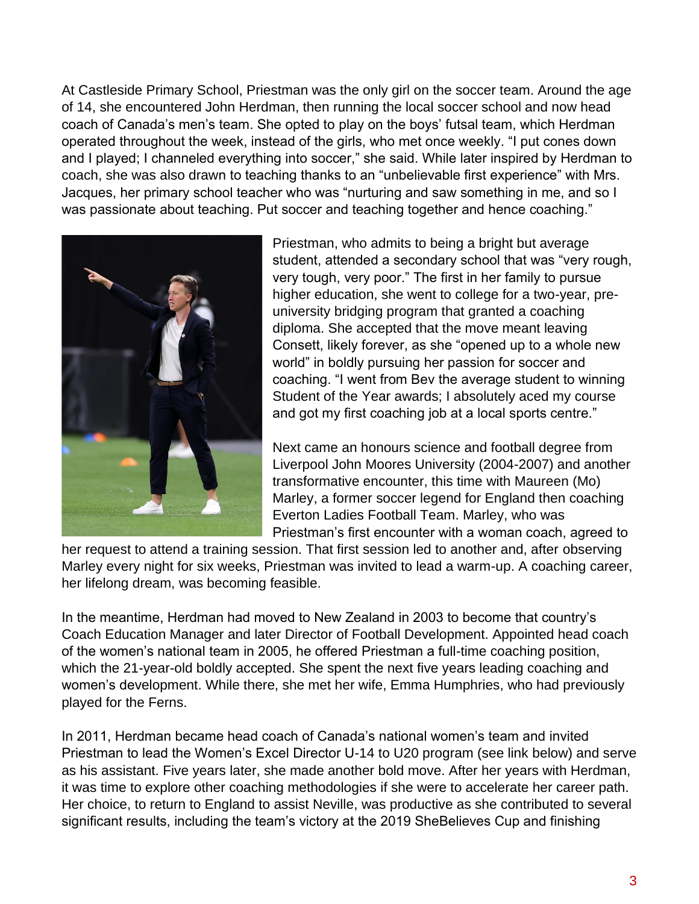At Castleside Primary School, Priestman was the only girl on the soccer team. Around the age of 14, she encountered John Herdman, then running the local soccer school and now head coach of Canada's men's team. She opted to play on the boys' futsal team, which Herdman operated throughout the week, instead of the girls, who met once weekly. "I put cones down and I played; I channeled everything into soccer," she said. While later inspired by Herdman to coach, she was also drawn to teaching thanks to an "unbelievable first experience" with Mrs. Jacques, her primary school teacher who was "nurturing and saw something in me, and so I was passionate about teaching. Put soccer and teaching together and hence coaching."



Priestman, who admits to being a bright but average student, attended a secondary school that was "very rough, very tough, very poor." The first in her family to pursue higher education, she went to college for a two-year, preuniversity bridging program that granted a coaching diploma. She accepted that the move meant leaving Consett, likely forever, as she "opened up to a whole new world" in boldly pursuing her passion for soccer and coaching. "I went from Bev the average student to winning Student of the Year awards; I absolutely aced my course and got my first coaching job at a local sports centre."

Next came an honours science and football degree from Liverpool John Moores University (2004-2007) and another transformative encounter, this time with Maureen (Mo) Marley, a former soccer legend for England then coaching Everton Ladies Football Team. Marley, who was Priestman's first encounter with a woman coach, agreed to

her request to attend a training session. That first session led to another and, after observing Marley every night for six weeks, Priestman was invited to lead a warm-up. A coaching career, her lifelong dream, was becoming feasible.

In the meantime, Herdman had moved to New Zealand in 2003 to become that country's Coach Education Manager and later Director of Football Development. Appointed head coach of the women's national team in 2005, he offered Priestman a full-time coaching position, which the 21-year-old boldly accepted. She spent the next five years leading coaching and women's development. While there, she met her wife, Emma Humphries, who had previously played for the Ferns.

In 2011, Herdman became head coach of Canada's national women's team and invited Priestman to lead the Women's Excel Director U-14 to U20 program (see link below) and serve as his assistant. Five years later, she made another bold move. After her years with Herdman, it was time to explore other coaching methodologies if she were to accelerate her career path. Her choice, to return to England to assist Neville, was productive as she contributed to several significant results, including the team's victory at the 2019 SheBelieves Cup and finishing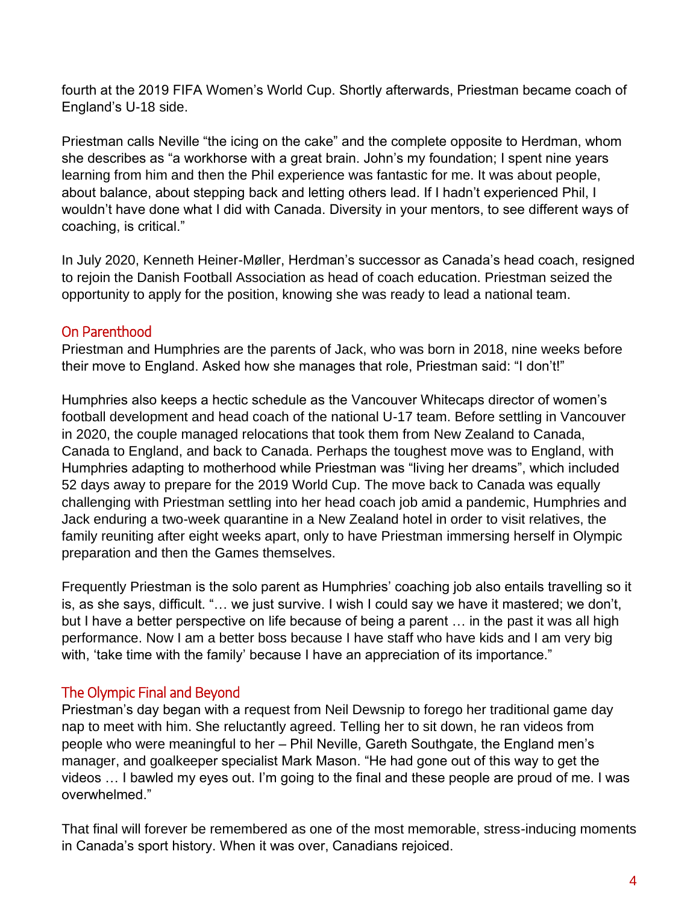fourth at the 2019 FIFA Women's World Cup. Shortly afterwards, Priestman became coach of England's U-18 side.

Priestman calls Neville "the icing on the cake" and the complete opposite to Herdman, whom she describes as "a workhorse with a great brain. John's my foundation; I spent nine years learning from him and then the Phil experience was fantastic for me. It was about people, about balance, about stepping back and letting others lead. If I hadn't experienced Phil, I wouldn't have done what I did with Canada. Diversity in your mentors, to see different ways of coaching, is critical."

In July 2020, Kenneth Heiner-Møller, Herdman's successor as Canada's head coach, resigned to rejoin the Danish Football Association as head of coach education. Priestman seized the opportunity to apply for the position, knowing she was ready to lead a national team.

#### On Parenthood

Priestman and Humphries are the parents of Jack, who was born in 2018, nine weeks before their move to England. Asked how she manages that role, Priestman said: "I don't!"

Humphries also keeps a hectic schedule as the Vancouver Whitecaps director of women's football development and head coach of the national U-17 team. Before settling in Vancouver in 2020, the couple managed relocations that took them from New Zealand to Canada, Canada to England, and back to Canada. Perhaps the toughest move was to England, with Humphries adapting to motherhood while Priestman was "living her dreams", which included 52 days away to prepare for the 2019 World Cup. The move back to Canada was equally challenging with Priestman settling into her head coach job amid a pandemic, Humphries and Jack enduring a two-week quarantine in a New Zealand hotel in order to visit relatives, the family reuniting after eight weeks apart, only to have Priestman immersing herself in Olympic preparation and then the Games themselves.

Frequently Priestman is the solo parent as Humphries' coaching job also entails travelling so it is, as she says, difficult. "… we just survive. I wish I could say we have it mastered; we don't, but I have a better perspective on life because of being a parent … in the past it was all high performance. Now I am a better boss because I have staff who have kids and I am very big with, 'take time with the family' because I have an appreciation of its importance."

#### The Olympic Final and Beyond

Priestman's day began with a request from Neil Dewsnip to forego her traditional game day nap to meet with him. She reluctantly agreed. Telling her to sit down, he ran videos from people who were meaningful to her – Phil Neville, Gareth Southgate, the England men's manager, and goalkeeper specialist Mark Mason. "He had gone out of this way to get the videos … I bawled my eyes out. I'm going to the final and these people are proud of me. I was overwhelmed."

That final will forever be remembered as one of the most memorable, stress-inducing moments in Canada's sport history. When it was over, Canadians rejoiced.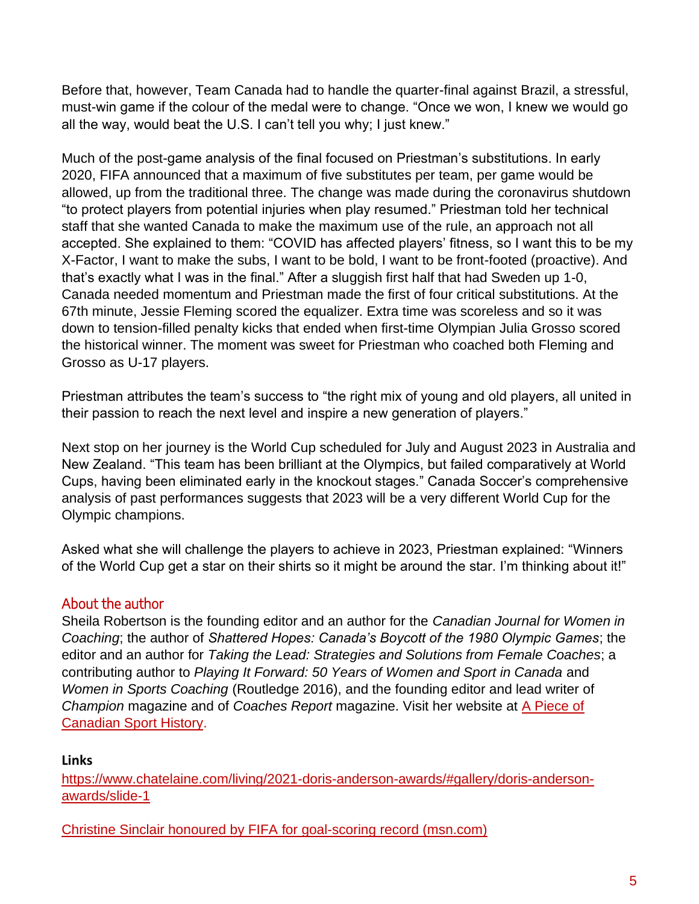Before that, however, Team Canada had to handle the quarter-final against Brazil, a stressful, must-win game if the colour of the medal were to change. "Once we won, I knew we would go all the way, would beat the U.S. I can't tell you why; I just knew."

Much of the post-game analysis of the final focused on Priestman's substitutions. In early 2020, FIFA announced that a maximum of five substitutes per team, per game would be allowed, up from the traditional three. The change was made during the coronavirus shutdown "to protect players from potential injuries when play resumed." Priestman told her technical staff that she wanted Canada to make the maximum use of the rule, an approach not all accepted. She explained to them: "COVID has affected players' fitness, so I want this to be my X-Factor, I want to make the subs, I want to be bold, I want to be front-footed (proactive). And that's exactly what I was in the final." After a sluggish first half that had Sweden up 1-0, Canada needed momentum and Priestman made the first of four critical substitutions. At the 67th minute, Jessie Fleming scored the equalizer. Extra time was scoreless and so it was down to tension-filled penalty kicks that ended when first-time Olympian Julia Grosso scored the historical winner. The moment was sweet for Priestman who coached both Fleming and Grosso as U-17 players.

Priestman attributes the team's success to "the right mix of young and old players, all united in their passion to reach the next level and inspire a new generation of players."

Next stop on her journey is the World Cup scheduled for July and August 2023 in Australia and New Zealand. "This team has been brilliant at the Olympics, but failed comparatively at World Cups, having been eliminated early in the knockout stages." Canada Soccer's comprehensive analysis of past performances suggests that 2023 will be a very different World Cup for the Olympic champions.

Asked what she will challenge the players to achieve in 2023, Priestman explained: "Winners of the World Cup get a star on their shirts so it might be around the star. I'm thinking about it!"

#### About the author

Sheila Robertson is the founding editor and an author for the *Canadian Journal for Women in Coaching*; the author of *Shattered Hopes: Canada's Boycott of the 1980 Olympic Games*; the editor and an author for *Taking the Lead: Strategies and Solutions from Female Coaches*; a contributing author to *Playing It Forward: 50 Years of Women and Sport in Canada* and *Women in Sports Coaching* (Routledge 2016), and the founding editor and lead writer of *Champion* magazine and of *Coaches Report* magazine. Visit her website at [A Piece of](http://canadiansporthistory.ca/)  [Canadian Sport History.](http://canadiansporthistory.ca/)

#### **Links**

[https://www.chatelaine.com/living/2021-doris-anderson-awards/#gallery/doris-anderson](https://www.chatelaine.com/living/2021-doris-anderson-awards/#gallery/doris-anderson-awards/slide-1)[awards/slide-1](https://www.chatelaine.com/living/2021-doris-anderson-awards/#gallery/doris-anderson-awards/slide-1)

[Christine Sinclair honoured by FIFA for goal-scoring record \(msn.com\)](https://www.msn.com/en-ca/weather/topstories/christine-sinclair-honoured-by-fifa-for-goal-scoring-record/vi-AASTzTW)